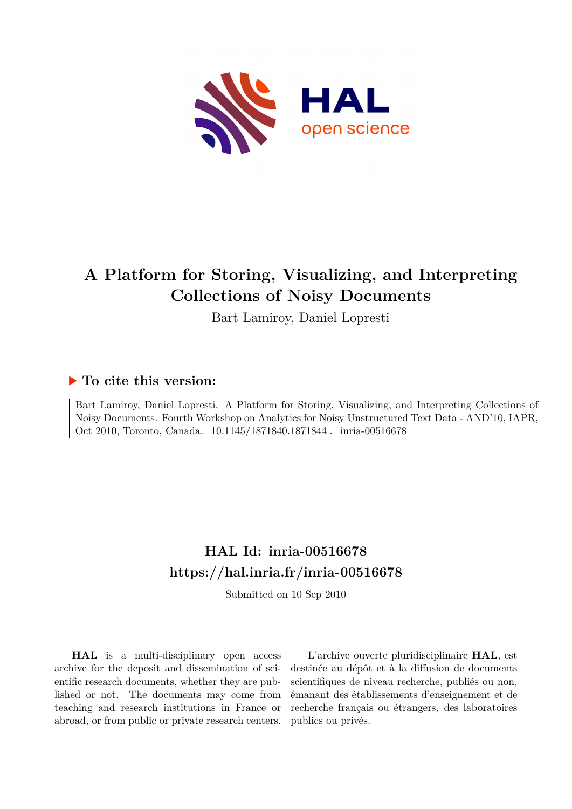

# **A Platform for Storing, Visualizing, and Interpreting Collections of Noisy Documents**

Bart Lamiroy, Daniel Lopresti

# **To cite this version:**

Bart Lamiroy, Daniel Lopresti. A Platform for Storing, Visualizing, and Interpreting Collections of Noisy Documents. Fourth Workshop on Analytics for Noisy Unstructured Text Data - AND'10, IAPR, Oct 2010, Toronto, Canada.  $10.1145/1871840.1871844$ . inria-00516678

# **HAL Id: inria-00516678 <https://hal.inria.fr/inria-00516678>**

Submitted on 10 Sep 2010

**HAL** is a multi-disciplinary open access archive for the deposit and dissemination of scientific research documents, whether they are published or not. The documents may come from teaching and research institutions in France or abroad, or from public or private research centers.

L'archive ouverte pluridisciplinaire **HAL**, est destinée au dépôt et à la diffusion de documents scientifiques de niveau recherche, publiés ou non, émanant des établissements d'enseignement et de recherche français ou étrangers, des laboratoires publics ou privés.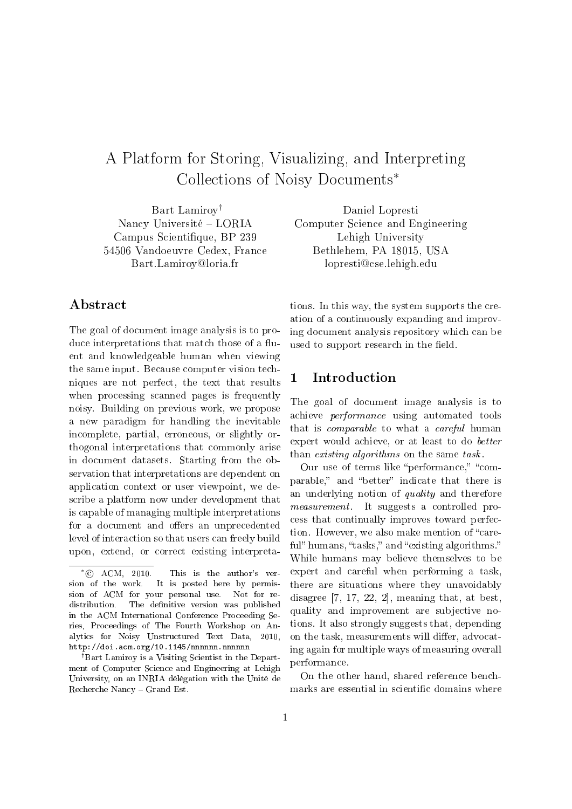# A Platform for Storing, Visualizing, and Interpreting Collections of Noisy Documents*<sup>∗</sup>*

Bart Lamiroy*†* Nancy Université LORIA Campus Scientique, BP 239 54506 Vandoeuvre Cedex, France Bart.Lamiroy@loria.fr

Abstract

The goal of document image analysis is to produce interpretations that match those of a fluent and knowledgeable human when viewing the same input. Because computer vision techniques are not perfect, the text that results when processing scanned pages is frequently noisy. Building on previous work, we propose a new paradigm for handling the inevitable incomplete, partial, erroneous, or slightly orthogonal interpretations that commonly arise in document datasets. Starting from the observation that interpretations are dependent on application context or user viewpoint, we describe a platform now under development that is capable of managing multiple interpretations for a document and offers an unprecedented level of interaction so that users can freely build upon, extend, or correct existing interpreta-

Daniel Lopresti Computer Science and Engineering Lehigh University Bethlehem, PA 18015, USA lopresti@cse.lehigh.edu

tions. In this way, the system supports the creation of a continuously expanding and improving document analysis repository which can be used to support research in the field.

# 1 Introduction

The goal of document image analysis is to achieve performance using automated tools that is comparable to what a careful human expert would achieve, or at least to do better than existing algorithms on the same task.

Our use of terms like "performance," "comparable," and "better" indicate that there is an underlying notion of quality and therefore measurement. It suggests a controlled process that continually improves toward perfection. However, we also make mention of "careful" humans, "tasks," and "existing algorithms." While humans may believe themselves to be expert and careful when performing a task, there are situations where they unavoidably disagree [7, 17, 22, 2], meaning that, at best, quality and improvement are subjective notions. It also strongly suggests that, depending on the task, measurements will differ, advocating again for multiple ways of measuring overall performance.

On the other hand, shared reference benchmarks are essential in scientific domains where

<sup>&</sup>lt;sup>\*</sup> $\odot$  ACM, 2010. This is the author's version of the work. It is posted here by permission of ACM for your personal use. Not for redistribution. The denitive version was published in the ACM International Conference Proceeding Series, Proceedings of The Fourth Workshop on Analytics for Noisy Unstructured Text Data, 2010, http://doi.acm.org/10.1145/nnnnnn.nnnnnn

*<sup>†</sup>*Bart Lamiroy is a Visiting Scientist in the Department of Computer Science and Engineering at Lehigh University, on an INRIA délégation with the Unité de Recherche Nancy - Grand Est.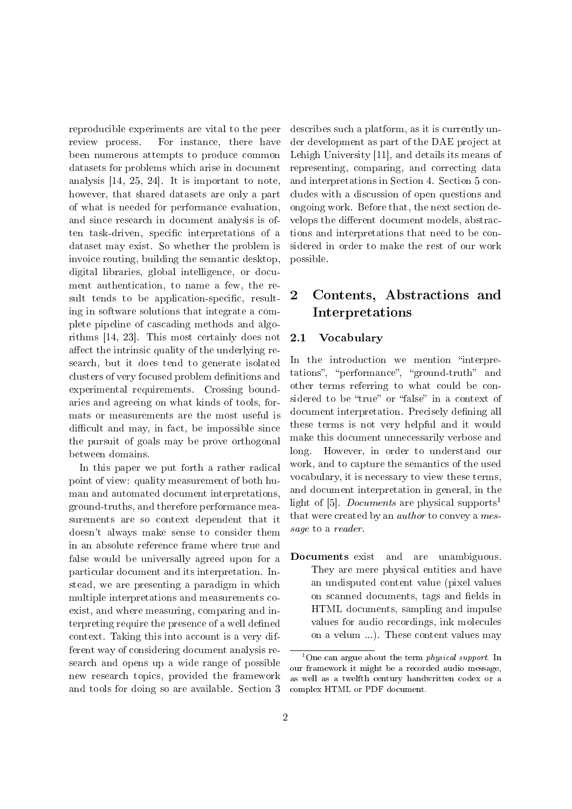reproducible experiments are vital to the peer review process. For instance, there have been numerous attempts to produce common datasets for problems which arise in document analysis [14, 25, 24]. It is important to note, however, that shared datasets are only a part of what is needed for performance evaluation, and since research in document analysis is often task-driven, specific interpretations of a dataset may exist. So whether the problem is invoice routing, building the semantic desktop, digital libraries, global intelligence, or document authentication, to name a few, the result tends to be application-specific, resulting in software solutions that integrate a complete pipeline of cascading methods and algorithms [14, 23]. This most certainly does not affect the intrinsic quality of the underlying research, but it does tend to generate isolated clusters of very focused problem denitions and experimental requirements. Crossing boundaries and agreeing on what kinds of tools, formats or measurements are the most useful is difficult and may, in fact, be impossible since the pursuit of goals may be prove orthogonal between domains.

In this paper we put forth a rather radical point of view: quality measurement of both human and automated document interpretations, ground-truths, and therefore performance measurements are so context dependent that it doesn't always make sense to consider them in an absolute reference frame where true and false would be universally agreed upon for a particular document and its interpretation. Instead, we are presenting a paradigm in which multiple interpretations and measurements coexist, and where measuring, comparing and interpreting require the presence of a well defined context. Taking this into account is a very different way of considering document analysis research and opens up a wide range of possible new research topics, provided the framework and tools for doing so are available. Section 3

describes such a platform, as it is currently under development as part of the DAE project at Lehigh University [11], and details its means of representing, comparing, and correcting data and interpretations in Section 4. Section 5 concludes with a discussion of open questions and ongoing work. Before that, the next section develops the different document models, abstractions and interpretations that need to be considered in order to make the rest of our work possible.

# 2 Contents, Abstractions and Interpretations

#### 2.1 Vocabulary

In the introduction we mention "interpretations", "performance", "ground-truth" and other terms referring to what could be considered to be "true" or "false" in a context of document interpretation. Precisely defining all these terms is not very helpful and it would make this document unnecessarily verbose and long. However, in order to understand our work, and to capture the semantics of the used vocabulary, it is necessary to view these terms, and document interpretation in general, in the light of [5]. *Documents* are physical supports<sup>1</sup> that were created by an author to convey a message to a reader.

Documents exist and are unambiguous. They are mere physical entities and have an undisputed content value (pixel values on scanned documents, tags and fields in HTML documents, sampling and impulse values for audio recordings, ink molecules on a velum ...). These content values may

<sup>&</sup>lt;sup>1</sup>One can argue about the term *physical support*. In our framework it might be a recorded audio message, as well as a twelfth century handwritten codex or a complex HTML or PDF document.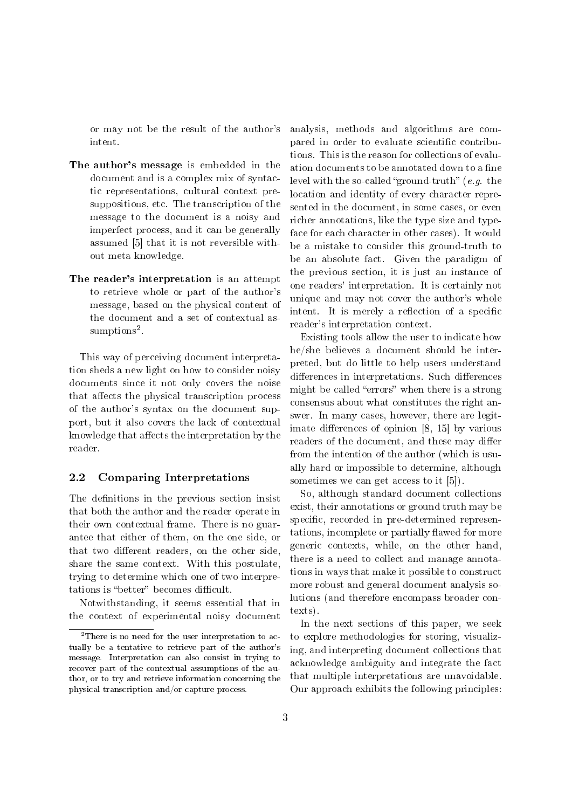or may not be the result of the author's intent.

- The author's message is embedded in the document and is a complex mix of syntactic representations, cultural context presuppositions, etc. The transcription of the message to the document is a noisy and imperfect process, and it can be generally assumed [5] that it is not reversible without meta knowledge.
- The reader's interpretation is an attempt to retrieve whole or part of the author's message, based on the physical content of the document and a set of contextual assumptions<sup>2</sup>.

This way of perceiving document interpretation sheds a new light on how to consider noisy documents since it not only covers the noise that affects the physical transcription process of the author's syntax on the document support, but it also covers the lack of contextual knowledge that affects the interpretation by the reader.

## 2.2 Comparing Interpretations

The definitions in the previous section insist that both the author and the reader operate in their own contextual frame. There is no guarantee that either of them, on the one side, or that two different readers, on the other side, share the same context. With this postulate, trying to determine which one of two interpretations is "better" becomes difficult.

Notwithstanding, it seems essential that in the context of experimental noisy document analysis, methods and algorithms are compared in order to evaluate scientific contributions. This is the reason for collections of evaluation documents to be annotated down to a fine level with the so-called "ground-truth" (e.g. the location and identity of every character represented in the document, in some cases, or even richer annotations, like the type size and typeface for each character in other cases). It would be a mistake to consider this ground-truth to be an absolute fact. Given the paradigm of the previous section, it is just an instance of one readers' interpretation. It is certainly not unique and may not cover the author's whole intent. It is merely a reflection of a specific reader's interpretation context.

Existing tools allow the user to indicate how he/she believes a document should be interpreted, but do little to help users understand differences in interpretations. Such differences might be called "errors" when there is a strong consensus about what constitutes the right answer. In many cases, however, there are legitimate differences of opinion  $[8, 15]$  by various readers of the document, and these may differ from the intention of the author (which is usually hard or impossible to determine, although sometimes we can get access to it [5]).

So, although standard document collections exist, their annotations or ground truth may be specific, recorded in pre-determined representations, incomplete or partially flawed for more generic contexts, while, on the other hand, there is a need to collect and manage annotations in ways that make it possible to construct more robust and general document analysis solutions (and therefore encompass broader contexts).

In the next sections of this paper, we seek to explore methodologies for storing, visualizing, and interpreting document collections that acknowledge ambiguity and integrate the fact that multiple interpretations are unavoidable. Our approach exhibits the following principles:

 $2^2$ There is no need for the user interpretation to actually be a tentative to retrieve part of the author's message. Interpretation can also consist in trying to recover part of the contextual assumptions of the author, or to try and retrieve information concerning the physical transcription and/or capture process.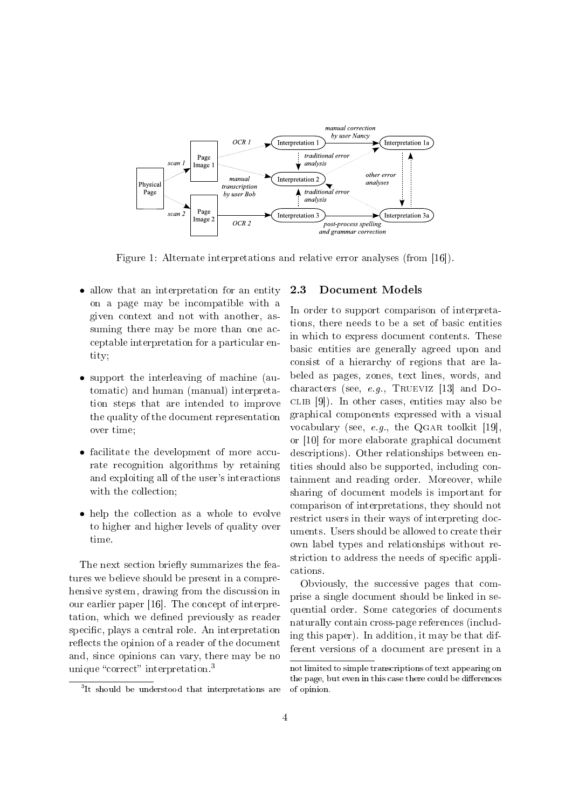

Figure 1: Alternate interpretations and relative error analyses (from [16]).

- allow that an interpretation for an entity on a page may be incompatible with a given context and not with another, assuming there may be more than one acceptable interpretation for a particular entity;
- *•* support the interleaving of machine (automatic) and human (manual) interpretation steps that are intended to improve the quality of the document representation over time;
- facilitate the development of more accurate recognition algorithms by retaining and exploiting all of the user's interactions with the collection;
- help the collection as a whole to evolve to higher and higher levels of quality over time.

The next section briefly summarizes the features we believe should be present in a comprehensive system, drawing from the discussion in our earlier paper [16]. The concept of interpretation, which we defined previously as reader specific, plays a central role. An interpretation reflects the opinion of a reader of the document and, since opinions can vary, there may be no unique "correct" interpretation.<sup>3</sup>

### <sup>3</sup>It should be understood that interpretations are

#### 2.3 Document Models

In order to support comparison of interpretations, there needs to be a set of basic entities in which to express document contents. These basic entities are generally agreed upon and consist of a hierarchy of regions that are labeled as pages, zones, text lines, words, and characters (see, e.g., Trueviz [13] and Do-CLIB  $[9]$ ). In other cases, entities may also be graphical components expressed with a visual vocabulary (see, e.g., the QGAR toolkit [19], or [10] for more elaborate graphical document descriptions). Other relationships between entities should also be supported, including containment and reading order. Moreover, while sharing of document models is important for comparison of interpretations, they should not restrict users in their ways of interpreting documents. Users should be allowed to create their own label types and relationships without restriction to address the needs of specific applications.

Obviously, the successive pages that comprise a single document should be linked in sequential order. Some categories of documents naturally contain cross-page references (including this paper). In addition, it may be that different versions of a document are present in a

not limited to simple transcriptions of text appearing on the page, but even in this case there could be differences of opinion.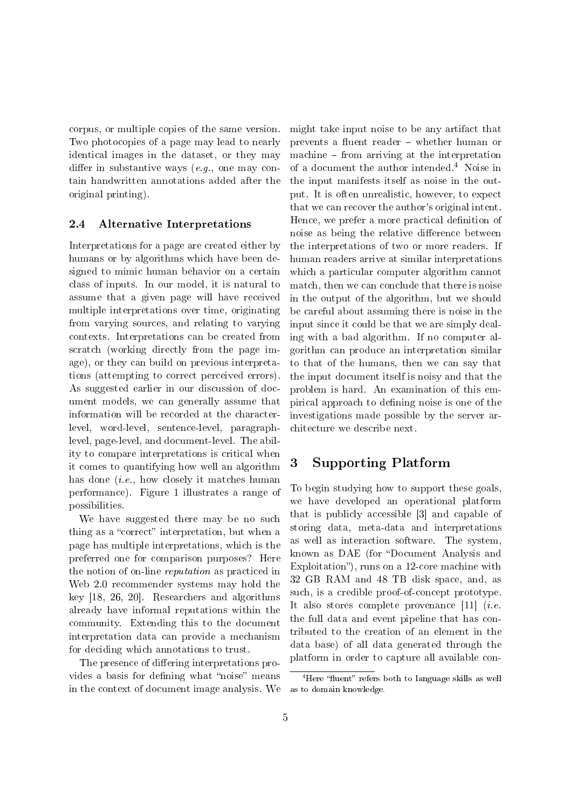corpus, or multiple copies of the same version. Two photocopies of a page may lead to nearly identical images in the dataset, or they may differ in substantive ways  $(e,q)$ , one may contain handwritten annotations added after the original printing).

### 2.4 Alternative Interpretations

Interpretations for a page are created either by humans or by algorithms which have been designed to mimic human behavior on a certain class of inputs. In our model, it is natural to assume that a given page will have received multiple interpretations over time, originating from varying sources, and relating to varying contexts. Interpretations can be created from scratch (working directly from the page image), or they can build on previous interpretations (attempting to correct perceived errors). As suggested earlier in our discussion of document models, we can generally assume that information will be recorded at the characterlevel, word-level, sentence-level, paragraphlevel, page-level, and document-level. The ability to compare interpretations is critical when it comes to quantifying how well an algorithm has done  $(i.e., how closely it matches human$ performance). Figure 1 illustrates a range of possibilities.

We have suggested there may be no such thing as a "correct" interpretation, but when a page has multiple interpretations, which is the preferred one for comparison purposes? Here the notion of on-line reputation as practiced in Web 2.0 recommender systems may hold the key [18, 26, 20]. Researchers and algorithms already have informal reputations within the community. Extending this to the document interpretation data can provide a mechanism for deciding which annotations to trust.

The presence of differing interpretations provides a basis for defining what "noise" means in the context of document image analysis. We might take input noise to be any artifact that prevents a fluent reader - whether human or machine – from arriving at the interpretation of a document the author intended.<sup>4</sup> Noise in the input manifests itself as noise in the output. It is often unrealistic, however, to expect that we can recover the author's original intent. Hence, we prefer a more practical definition of noise as being the relative difference between the interpretations of two or more readers. If human readers arrive at similar interpretations which a particular computer algorithm cannot match, then we can conclude that there is noise in the output of the algorithm, but we should be careful about assuming there is noise in the input since it could be that we are simply dealing with a bad algorithm. If no computer algorithm can produce an interpretation similar to that of the humans, then we can say that the input document itself is noisy and that the problem is hard. An examination of this empirical approach to dening noise is one of the investigations made possible by the server architecture we describe next.

# 3 Supporting Platform

To begin studying how to support these goals, we have developed an operational platform that is publicly accessible [3] and capable of storing data, meta-data and interpretations as well as interaction software. The system, known as DAE (for "Document Analysis and Exploitation"), runs on a 12-core machine with 32 GB RAM and 48 TB disk space, and, as such, is a credible proof-of-concept prototype. It also stores complete provenance  $[11]$  (*i.e.* the full data and event pipeline that has contributed to the creation of an element in the data base) of all data generated through the platform in order to capture all available con-

 $4^4$ Here "fluent" refers both to language skills as well as to domain knowledge.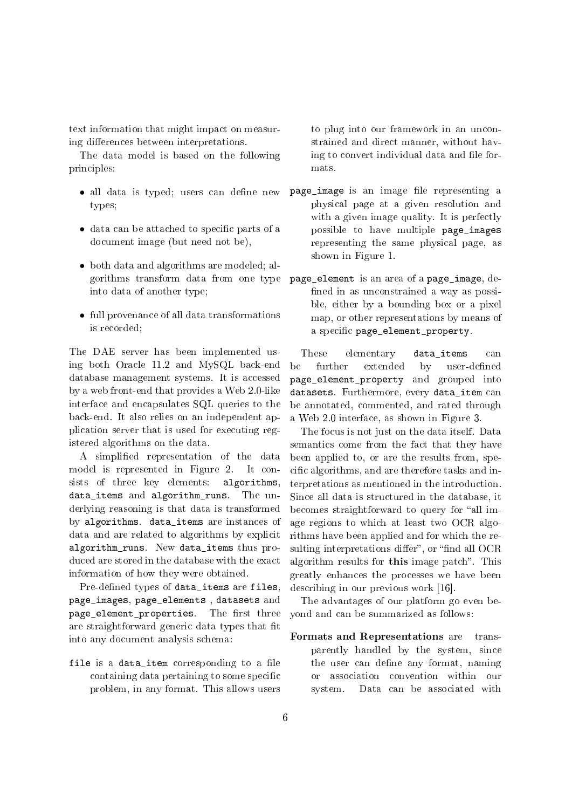text information that might impact on measuring differences between interpretations.

The data model is based on the following principles:

- all data is typed; users can define new types;
- data can be attached to specific parts of a document image (but need not be),
- both data and algorithms are modeled; algorithms transform data from one type into data of another type;
- *•* full provenance of all data transformations is recorded;

The DAE server has been implemented using both Oracle 11.2 and MySQL back-end database management systems. It is accessed by a web front-end that provides a Web 2.0-like interface and encapsulates SQL queries to the back-end. It also relies on an independent application server that is used for executing registered algorithms on the data.

A simplied representation of the data model is represented in Figure 2. It consists of three key elements: algorithms, data\_items and algorithm\_runs. The underlying reasoning is that data is transformed by algorithms. data\_items are instances of data and are related to algorithms by explicit algorithm\_runs. New data\_items thus produced are stored in the database with the exact information of how they were obtained.

Pre-defined types of data\_items are files, page\_images, page\_elements , datasets and page\_element\_properties. The first three are straightforward generic data types that fit into any document analysis schema:

file is a data\_item corresponding to a file containing data pertaining to some specific problem, in any format. This allows users to plug into our framework in an unconstrained and direct manner, without having to convert individual data and file formats.

- page\_image is an image file representing a physical page at a given resolution and with a given image quality. It is perfectly possible to have multiple page\_images representing the same physical page, as shown in Figure 1.
- page\_element is an area of a page\_image, de fined in as unconstrained a way as possible, either by a bounding box or a pixel map, or other representations by means of a specific page\_element\_property.

These elementary data\_items can be further extended by user-defined page\_element\_property and grouped into datasets. Furthermore, every data\_item can be annotated, commented, and rated through a Web 2.0 interface, as shown in Figure 3.

The focus is not just on the data itself. Data semantics come from the fact that they have been applied to, or are the results from, specific algorithms, and are therefore tasks and interpretations as mentioned in the introduction. Since all data is structured in the database, it becomes straightforward to query for "all image regions to which at least two OCR algorithms have been applied and for which the resulting interpretations differ", or "find all OCR algorithm results for this image patch". This greatly enhances the processes we have been describing in our previous work [16].

The advantages of our platform go even beyond and can be summarized as follows:

Formats and Representations are transparently handled by the system, since the user can define any format, naming or association convention within our system. Data can be associated with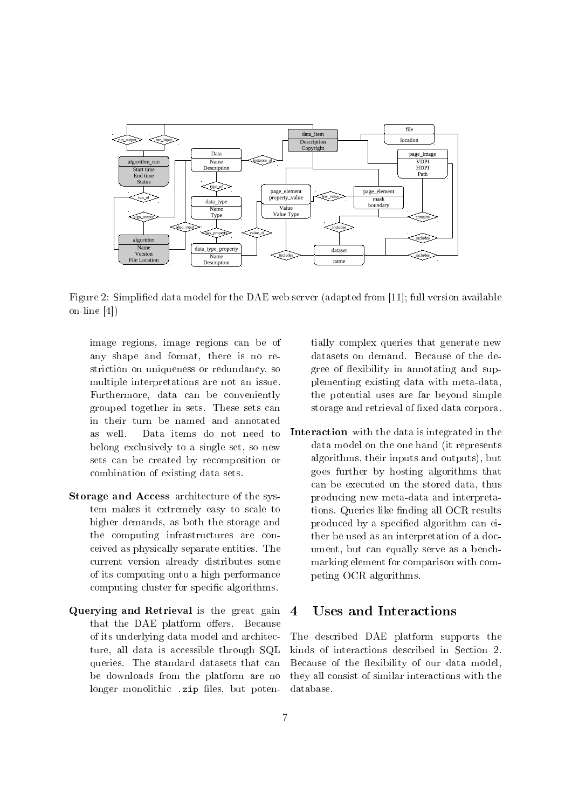

Figure 2: Simplied data model for the DAE web server (adapted from [11]; full version available on-line [4])

image regions, image regions can be of any shape and format, there is no restriction on uniqueness or redundancy, so multiple interpretations are not an issue. Furthermore, data can be conveniently grouped together in sets. These sets can in their turn be named and annotated as well. Data items do not need to belong exclusively to a single set, so new sets can be created by recomposition or combination of existing data sets.

- Storage and Access architecture of the system makes it extremely easy to scale to higher demands, as both the storage and the computing infrastructures are conceived as physically separate entities. The current version already distributes some of its computing onto a high performance computing cluster for specific algorithms.
- Querying and Retrieval is the great gain that the DAE platform offers. Because of its underlying data model and architecture, all data is accessible through SQL queries. The standard datasets that can be downloads from the platform are no longer monolithic .zip files, but poten-

tially complex queries that generate new datasets on demand. Because of the degree of flexibility in annotating and supplementing existing data with meta-data, the potential uses are far beyond simple storage and retrieval of fixed data corpora.

Interaction with the data is integrated in the data model on the one hand (it represents algorithms, their inputs and outputs), but goes further by hosting algorithms that can be executed on the stored data, thus producing new meta-data and interpretations. Queries like finding all OCR results produced by a specified algorithm can either be used as an interpretation of a document, but can equally serve as a benchmarking element for comparison with competing OCR algorithms.

## 4 Uses and Interactions

The described DAE platform supports the kinds of interactions described in Section 2. Because of the flexibility of our data model, they all consist of similar interactions with the database.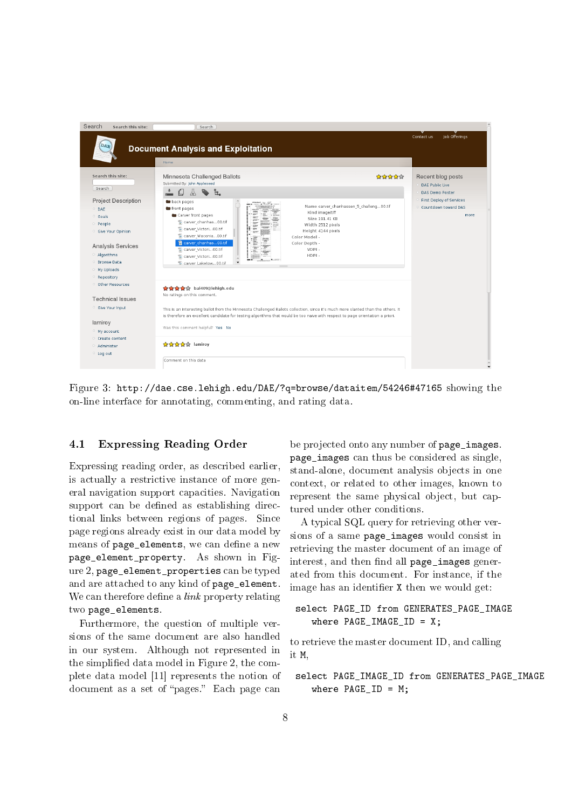| Search<br>Search this site:<br>DAE                                                                                                                                                                    | Search<br><b>Document Analysis and Exploitation</b>                                                                                                                                                                                                                                                                                                                                                      | Job Offerings<br>Contact us                                           |
|-------------------------------------------------------------------------------------------------------------------------------------------------------------------------------------------------------|----------------------------------------------------------------------------------------------------------------------------------------------------------------------------------------------------------------------------------------------------------------------------------------------------------------------------------------------------------------------------------------------------------|-----------------------------------------------------------------------|
|                                                                                                                                                                                                       | Home                                                                                                                                                                                                                                                                                                                                                                                                     |                                                                       |
| Search this site:<br>Search                                                                                                                                                                           | Minnesota Challenged Ballots<br>合合合合金<br>Submitted By: John Appleseed<br>ъ.                                                                                                                                                                                                                                                                                                                              | Recent blog posts<br>DAE Public Live<br>DAS Demo Poster               |
| Project Description<br>O DAE<br><sup>o</sup> Goals<br>P People<br><sup>O</sup> Give Your Opinion<br><b>Analysis Services</b><br>Algorithms<br><b>Browse Data</b><br>My Uploads                        | back pages<br>Name carver chanhassen 5 challeng00.tif<br>front pages<br>Kind image/tiff<br>Carver front pages<br>Size 191.41 KB<br>carver_chanhas00.tif<br>Width 2512 pixels<br>carver_Victori00.tif<br>Height 4144 pixels<br>carver Waconia00.tif<br>Color Model -<br>carver chanhas00.tif<br>Color Depth -<br>carver_Victori00.tif<br>VDPI-<br>HDPI-<br>carver Victori00.tif<br>carver Laketow00.tif   | <sup>O</sup> First Deploy of Services<br>Countdown toward DAS<br>more |
| Repository<br>$\circ$<br>O Other Resources<br><b>Technical Issues</b><br><sup>o</sup> Give Your Input<br>lamiroy<br><sup>o</sup> My account<br>▷ Create content<br>Administer<br><sup>o</sup> Log out | ☆☆☆☆☆ bal409@lehigh.edu<br>No ratings on this comment.<br>This is an interesting ballot from the Minnesota Challenged Ballots collection, since it's much more slanted than the others. It<br>is therefore an excellent candidate for testing algorithms that would be too naive with respect to page orientation a priori.<br>Was this comment helpful? Yes No<br>☆☆☆☆☆ lamiroy<br>Comment on this data |                                                                       |

Figure 3: http://dae.cse.lehigh.edu/DAE/?q=browse/dataitem/54246#47165 showing the on-line interface for annotating, commenting, and rating data.

## 4.1 Expressing Reading Order

Expressing reading order, as described earlier, is actually a restrictive instance of more general navigation support capacities. Navigation support can be defined as establishing directional links between regions of pages. Since page regions already exist in our data model by means of page\_elements, we can define a new page\_element\_property. As shown in Figure 2, page\_element\_properties can be typed and are attached to any kind of page\_element. We can therefore define a *link* property relating two page\_elements.

Furthermore, the question of multiple versions of the same document are also handled in our system. Although not represented in the simplified data model in Figure 2, the complete data model [11] represents the notion of document as a set of "pages." Each page can be projected onto any number of page\_images. page\_images can thus be considered as single, stand-alone, document analysis objects in one context, or related to other images, known to represent the same physical object, but captured under other conditions.

A typical SQL query for retrieving other versions of a same page\_images would consist in retrieving the master document of an image of interest, and then find all page\_images generated from this document. For instance, if the image has an identifier  $X$  then we would get:

```
select PAGE_ID from GENERATES_PAGE_IMAGE
  where PAGE\_IMAGE\_ID = X;
```
to retrieve the master document ID, and calling it M,

select PAGE\_IMAGE\_ID from GENERATES\_PAGE\_IMAGE where PAGE  $ID = M$ ;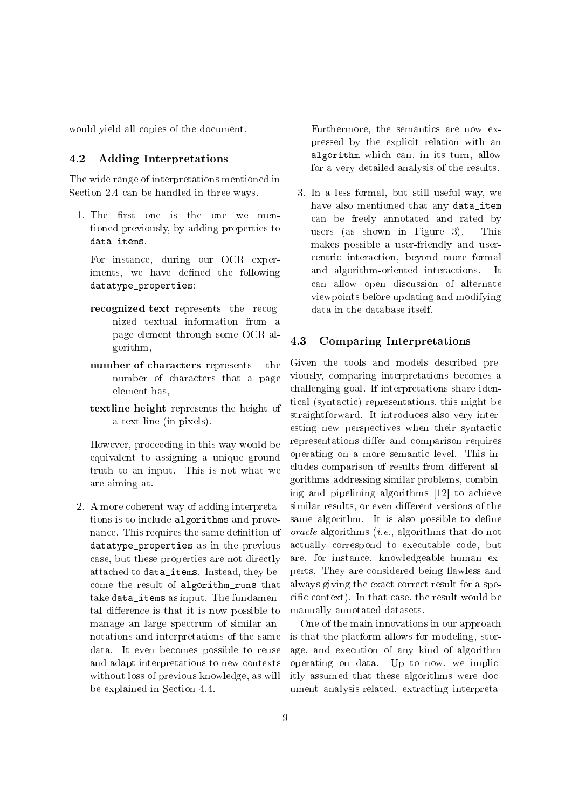would yield all copies of the document.

### 4.2 Adding Interpretations

The wide range of interpretations mentioned in Section 2.4 can be handled in three ways.

1. The first one is the one we mentioned previously, by adding properties to data\_items.

For instance, during our OCR experiments, we have defined the following datatype\_properties:

- recognized text represents the recognized textual information from a page element through some OCR algorithm,
- number of characters represents the number of characters that a page element has,
- textline height represents the height of a text line (in pixels).

However, proceeding in this way would be equivalent to assigning a unique ground truth to an input. This is not what we are aiming at.

2. A more coherent way of adding interpretations is to include algorithms and provenance. This requires the same definition of datatype\_properties as in the previous case, but these properties are not directly attached to data\_items. Instead, they become the result of algorithm\_runs that take data\_items as input. The fundamental difference is that it is now possible to manage an large spectrum of similar annotations and interpretations of the same data. It even becomes possible to reuse and adapt interpretations to new contexts without loss of previous knowledge, as will be explained in Section 4.4.

Furthermore, the semantics are now expressed by the explicit relation with an algorithm which can, in its turn, allow for a very detailed analysis of the results.

3. In a less formal, but still useful way, we have also mentioned that any data item can be freely annotated and rated by users (as shown in Figure 3). This makes possible a user-friendly and usercentric interaction, beyond more formal and algorithm-oriented interactions. It can allow open discussion of alternate viewpoints before updating and modifying data in the database itself.

### 4.3 Comparing Interpretations

Given the tools and models described previously, comparing interpretations becomes a challenging goal. If interpretations share identical (syntactic) representations, this might be straightforward. It introduces also very interesting new perspectives when their syntactic representations differ and comparison requires operating on a more semantic level. This includes comparison of results from different algorithms addressing similar problems, combining and pipelining algorithms [12] to achieve similar results, or even different versions of the same algorithm. It is also possible to define oracle algorithms (i.e., algorithms that do not actually correspond to executable code, but are, for instance, knowledgeable human experts. They are considered being flawless and always giving the exact correct result for a specific context). In that case, the result would be manually annotated datasets.

One of the main innovations in our approach is that the platform allows for modeling, storage, and execution of any kind of algorithm operating on data. Up to now, we implicitly assumed that these algorithms were document analysis-related, extracting interpreta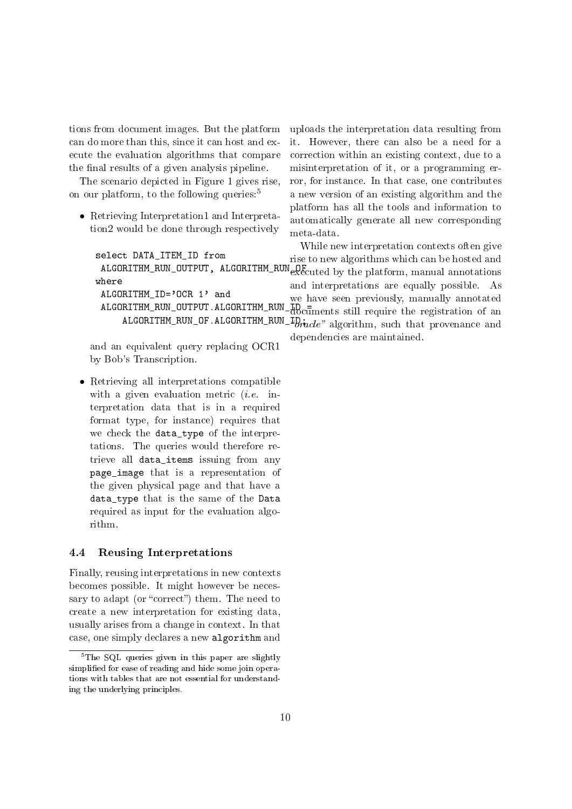tions from document images. But the platform can do more than this, since it can host and execute the evaluation algorithms that compare the final results of a given analysis pipeline.

The scenario depicted in Figure 1 gives rise, on our platform, to the following queries:<sup>5</sup>

*•* Retrieving Interpretation1 and Interpretation2 would be done through respectively

```
select DATA_ITEM_ID from
where
ALGORITHM_ID='OCR 1' and
```
and an equivalent query replacing OCR1 by Bob's Transcription.

*•* Retrieving all interpretations compatible with a given evaluation metric  $(i.e.$  interpretation data that is in a required format type, for instance) requires that we check the data\_type of the interpretations. The queries would therefore retrieve all data\_items issuing from any page\_image that is a representation of the given physical page and that have a data\_type that is the same of the Data required as input for the evaluation algorithm.

#### 4.4 Reusing Interpretations

Finally, reusing interpretations in new contexts becomes possible. It might however be necessary to adapt (or "correct") them. The need to create a new interpretation for existing data, usually arises from a change in context. In that case, one simply declares a new algorithm and uploads the interpretation data resulting from it. However, there can also be a need for a correction within an existing context, due to a misinterpretation of it, or a programming error, for instance. In that case, one contributes a new version of an existing algorithm and the platform has all the tools and information to automatically generate all new corresponding meta-data.

ALGORITHM\_RUN\_OUTPUT, ALGORITHM\_RUN<sub>executed by the platform, manual annotations</sub> ALGORITHM\_RUN\_OUTPUT.ALGORITHM\_RUN- $\overline{d}B_{\rm c}\bar{\bar{{\rm u}}}$ ments still require the registration of an ALGORITHM\_RUN\_OF.ALGORITHM\_RUN\_ $\overline{\psi_{\mathit{frac}}}\$  algorithm, such that provenance and While new interpretation contexts often give rise to new algorithms which can be hosted and and interpretations are equally possible. As we have seen previously, manually annotated dependencies are maintained.

<sup>&</sup>lt;sup>5</sup>The SQL queries given in this paper are slightly simplified for ease of reading and hide some join operations with tables that are not essential for understanding the underlying principles.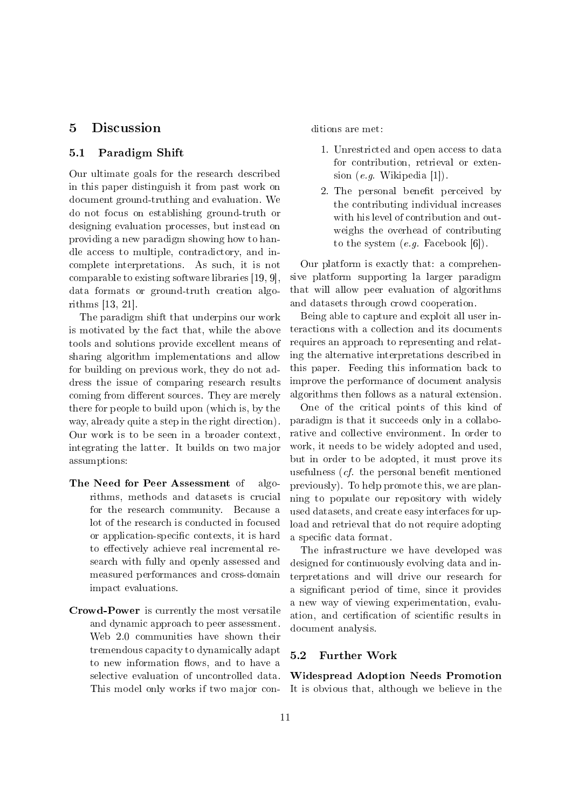# 5 Discussion

### 5.1 Paradigm Shift

Our ultimate goals for the research described in this paper distinguish it from past work on document ground-truthing and evaluation. We do not focus on establishing ground-truth or designing evaluation processes, but instead on providing a new paradigm showing how to handle access to multiple, contradictory, and incomplete interpretations. As such, it is not comparable to existing software libraries [19, 9], data formats or ground-truth creation algorithms [13, 21].

The paradigm shift that underpins our work is motivated by the fact that, while the above tools and solutions provide excellent means of sharing algorithm implementations and allow for building on previous work, they do not address the issue of comparing research results coming from different sources. They are merely there for people to build upon (which is, by the way, already quite a step in the right direction). Our work is to be seen in a broader context, integrating the latter. It builds on two major assumptions:

- The Need for Peer Assessment of algorithms, methods and datasets is crucial for the research community. Because a lot of the research is conducted in focused or application-specific contexts, it is hard to effectively achieve real incremental research with fully and openly assessed and measured performances and cross-domain impact evaluations.
- Crowd-Power is currently the most versatile and dynamic approach to peer assessment. Web 2.0 communities have shown their tremendous capacity to dynamically adapt to new information flows, and to have a selective evaluation of uncontrolled data. This model only works if two major con-

ditions are met:

- 1. Unrestricted and open access to data for contribution, retrieval or extension (e.g. Wikipedia [1]).
- 2. The personal benefit perceived by the contributing individual increases with his level of contribution and outweighs the overhead of contributing to the system  $(e.g.$  Facebook  $[6]$ ).

Our platform is exactly that: a comprehensive platform supporting la larger paradigm that will allow peer evaluation of algorithms and datasets through crowd cooperation.

Being able to capture and exploit all user interactions with a collection and its documents requires an approach to representing and relating the alternative interpretations described in this paper. Feeding this information back to improve the performance of document analysis algorithms then follows as a natural extension.

One of the critical points of this kind of paradigm is that it succeeds only in a collaborative and collective environment. In order to work, it needs to be widely adopted and used, but in order to be adopted, it must prove its usefulness  $(cf.$  the personal benefit mentioned previously). To help promote this, we are planning to populate our repository with widely used datasets, and create easy interfaces for upload and retrieval that do not require adopting a specific data format.

The infrastructure we have developed was designed for continuously evolving data and interpretations and will drive our research for a signicant period of time, since it provides a new way of viewing experimentation, evaluation, and certification of scientific results in document analysis.

#### 5.2 Further Work

Widespread Adoption Needs Promotion It is obvious that, although we believe in the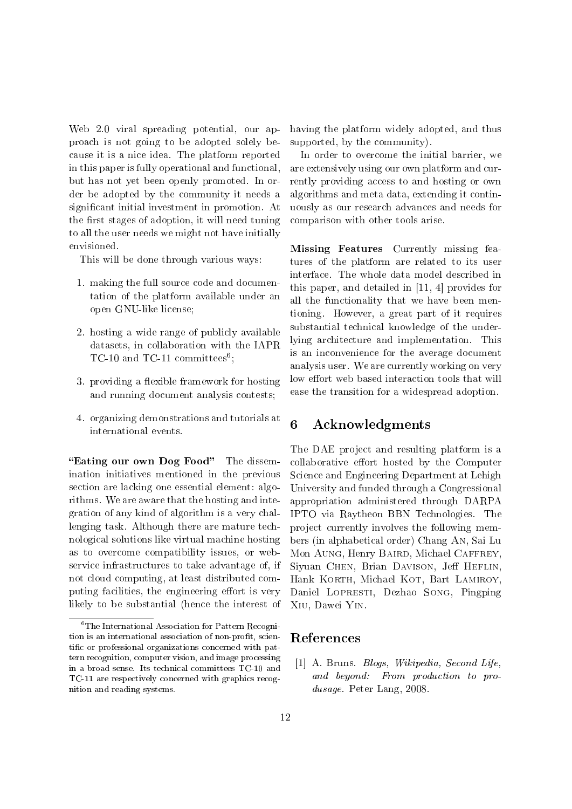Web 2.0 viral spreading potential, our approach is not going to be adopted solely because it is a nice idea. The platform reported in this paper is fully operational and functional, but has not yet been openly promoted. In order be adopted by the community it needs a signicant initial investment in promotion. At the first stages of adoption, it will need tuning to all the user needs we might not have initially envisioned.

This will be done through various ways:

- 1. making the full source code and documentation of the platform available under an open GNU-like license;
- 2. hosting a wide range of publicly available datasets, in collaboration with the IAPR TC-10 and TC-11 committees<sup>6</sup>;
- 3. providing a flexible framework for hosting and running document analysis contests;
- 4. organizing demonstrations and tutorials at international events.

"Eating our own Dog Food" The dissemination initiatives mentioned in the previous section are lacking one essential element: algorithms. We are aware that the hosting and integration of any kind of algorithm is a very challenging task. Although there are mature technological solutions like virtual machine hosting as to overcome compatibility issues, or webservice infrastructures to take advantage of, if not cloud computing, at least distributed computing facilities, the engineering effort is very likely to be substantial (hence the interest of

having the platform widely adopted, and thus supported, by the community).

In order to overcome the initial barrier, we are extensively using our own platform and currently providing access to and hosting or own algorithms and meta data, extending it continuously as our research advances and needs for comparison with other tools arise.

Missing Features Currently missing features of the platform are related to its user interface. The whole data model described in this paper, and detailed in [11, 4] provides for all the functionality that we have been mentioning. However, a great part of it requires substantial technical knowledge of the underlying architecture and implementation. This is an inconvenience for the average document analysis user. We are currently working on very low effort web based interaction tools that will ease the transition for a widespread adoption.

### 6 Acknowledgments

The DAE project and resulting platform is a collaborative effort hosted by the Computer Science and Engineering Department at Lehigh University and funded through a Congressional appropriation administered through DARPA IPTO via Raytheon BBN Technologies. The project currently involves the following members (in alphabetical order) Chang An, Sai Lu Mon Aung, Henry Baird, Michael Caffrey, Siyuan CHEN, Brian DAVISON, Jeff HEFLIN, Hank KORTH, Michael KOT, Bart LAMIROY, Daniel Lopresti, Dezhao Song, Pingping Xiu, Dawei Yin.

# References

[1] A. Bruns. Blogs, Wikipedia, Second Life, and beyond: From production to produsage. Peter Lang, 2008.

<sup>6</sup>The International Association for Pattern Recognition is an international association of non-profit, scientific or professional organizations concerned with pattern recognition, computer vision, and image processing in a broad sense. Its technical committees TC-10 and TC-11 are respectively concerned with graphics recognition and reading systems.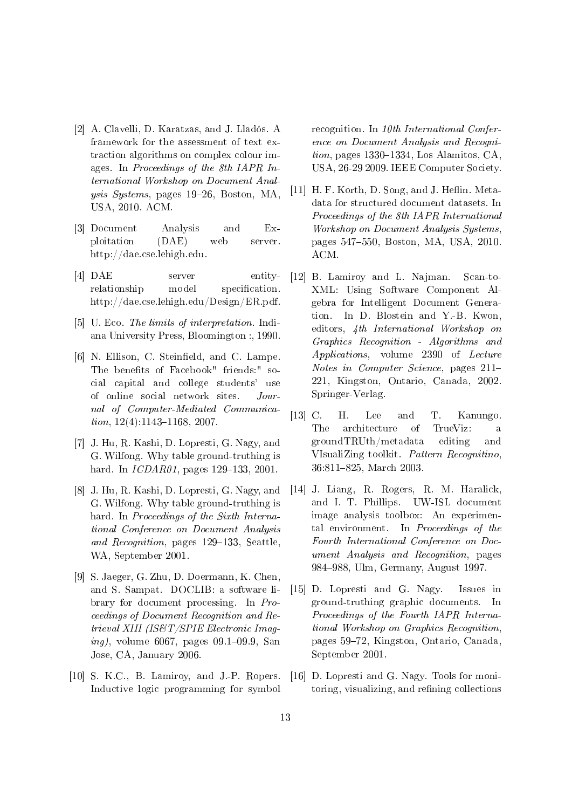- [2] A. Clavelli, D. Karatzas, and J. Lladós. A framework for the assessment of text extraction algorithms on complex colour images. In Proceedings of the 8th IAPR International Workshop on Document Analysis Systems, pages  $19-26$ , Boston, MA, USA, 2010. ACM.
- [3] Document Analysis and Exploitation (DAE) web server. http://dae.cse.lehigh.edu.
- [4] DAE server entityrelationship model specification. http://dae.cse.lehigh.edu/Design/ER.pdf.
- [5] U. Eco. The limits of interpretation. Indiana University Press, Bloomington :, 1990.
- [6] N. Ellison, C. Steinfield, and C. Lampe. The benefits of Facebook" friends:" social capital and college students' use of online social network sites. Journal of Computer-Mediated Communica $tion, 12(4): 1143-1168, 2007.$
- [7] J. Hu, R. Kashi, D. Lopresti, G. Nagy, and G. Wilfong. Why table ground-truthing is hard. In  $ICDAR01$ , pages 129-133, 2001.
- [8] J. Hu, R. Kashi, D. Lopresti, G. Nagy, and G. Wilfong. Why table ground-truthing is hard. In Proceedings of the Sixth International Conference on Document Analysis and Recognition, pages  $129-133$ , Seattle, WA, September 2001.
- [9] S. Jaeger, G. Zhu, D. Doermann, K. Chen, and S. Sampat. DOCLIB: a software library for document processing. In Proceedings of Document Recognition and Retrieval XIII (IS&T/SPIE Electronic Imag*ing*), volume 6067, pages  $0.1-0.9$ , San Jose, CA, January 2006.
- [10] S. K.C., B. Lamiroy, and J.-P. Ropers. Inductive logic programming for symbol

recognition. In 10th International Conference on Document Analysis and Recogni $tion, pages 1330-1334, Los Alamitos, CA,$ USA, 26-29 2009. IEEE Computer Society.

- [11] H. F. Korth, D. Song, and J. Heflin. Metadata for structured document datasets. In Proceedings of the 8th IAPR International Workshop on Document Analysis Systems, pages 547-550, Boston, MA, USA, 2010. ACM.
- [12] B. Lamiroy and L. Najman. Scan-to-XML: Using Software Component Algebra for Intelligent Document Generation. In D. Blostein and Y.-B. Kwon, editors, 4th International Workshop on Graphics Recognition - Algorithms and Applications, volume 2390 of Lecture Notes in Computer Science, pages 211 221, Kingston, Ontario, Canada, 2002. Springer-Verlag.
- [13] C. H. Lee and T. Kanungo. The architecture of TrueViz: a groundTRUth/metadata editing and VIsualiZing toolkit. Pattern Recognitino, 36:811-825, March 2003.
- [14] J. Liang, R. Rogers, R. M. Haralick, and I. T. Phillips. UW-ISL document image analysis toolbox: An experimental environment. In Proceedings of the Fourth International Conference on Document Analysis and Recognition, pages 984988, Ulm, Germany, August 1997.
- [15] D. Lopresti and G. Nagy. Issues in ground-truthing graphic documents. In Proceedings of the Fourth IAPR International Workshop on Graphics Recognition, pages 59-72, Kingston, Ontario, Canada, September 2001.
- [16] D. Lopresti and G. Nagy. Tools for monitoring, visualizing, and refining collections